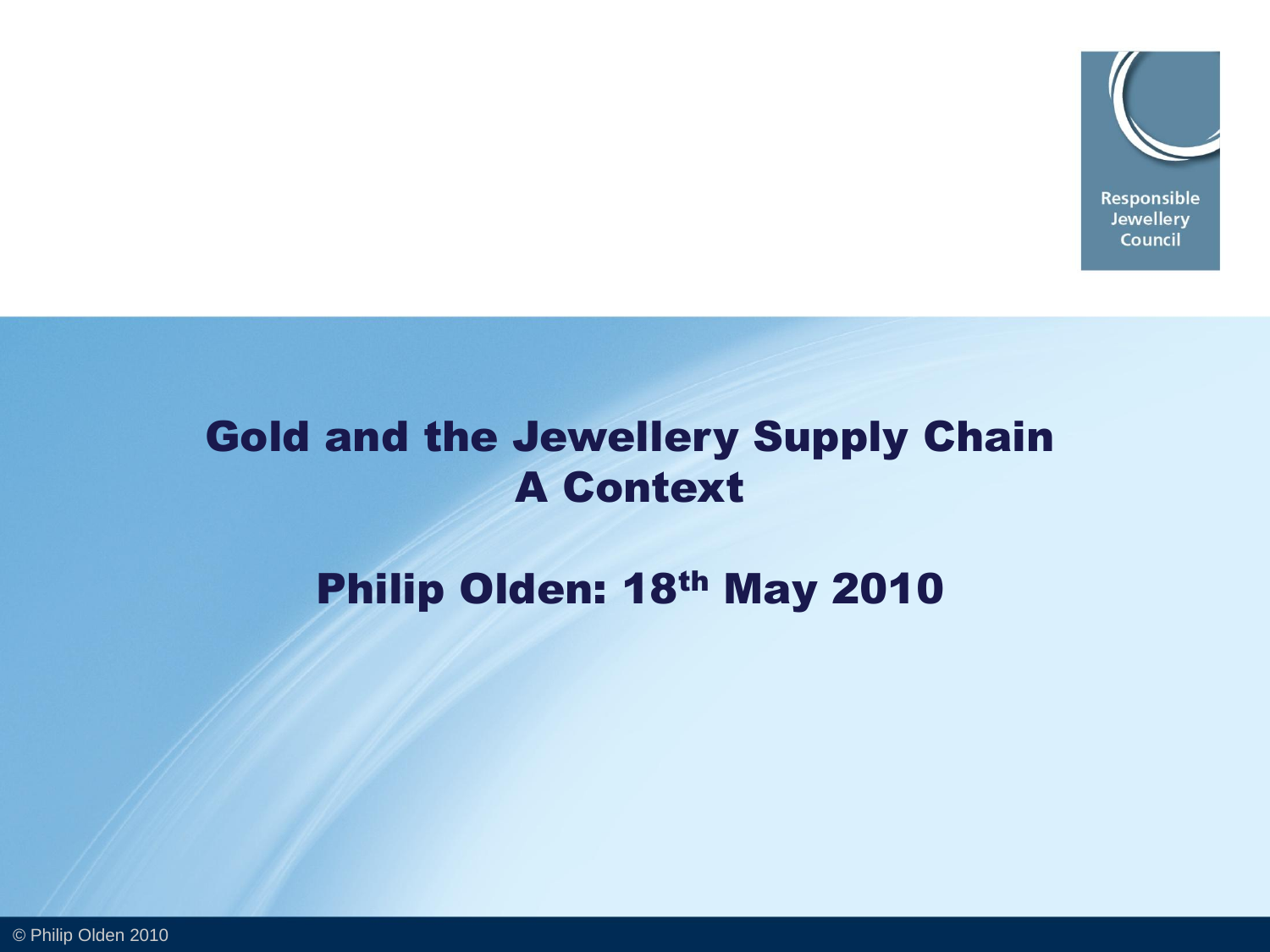

# Gold and the Jewellery Supply Chain A Context

# Philip Olden: 18th May 2010

© Philip Olden 2010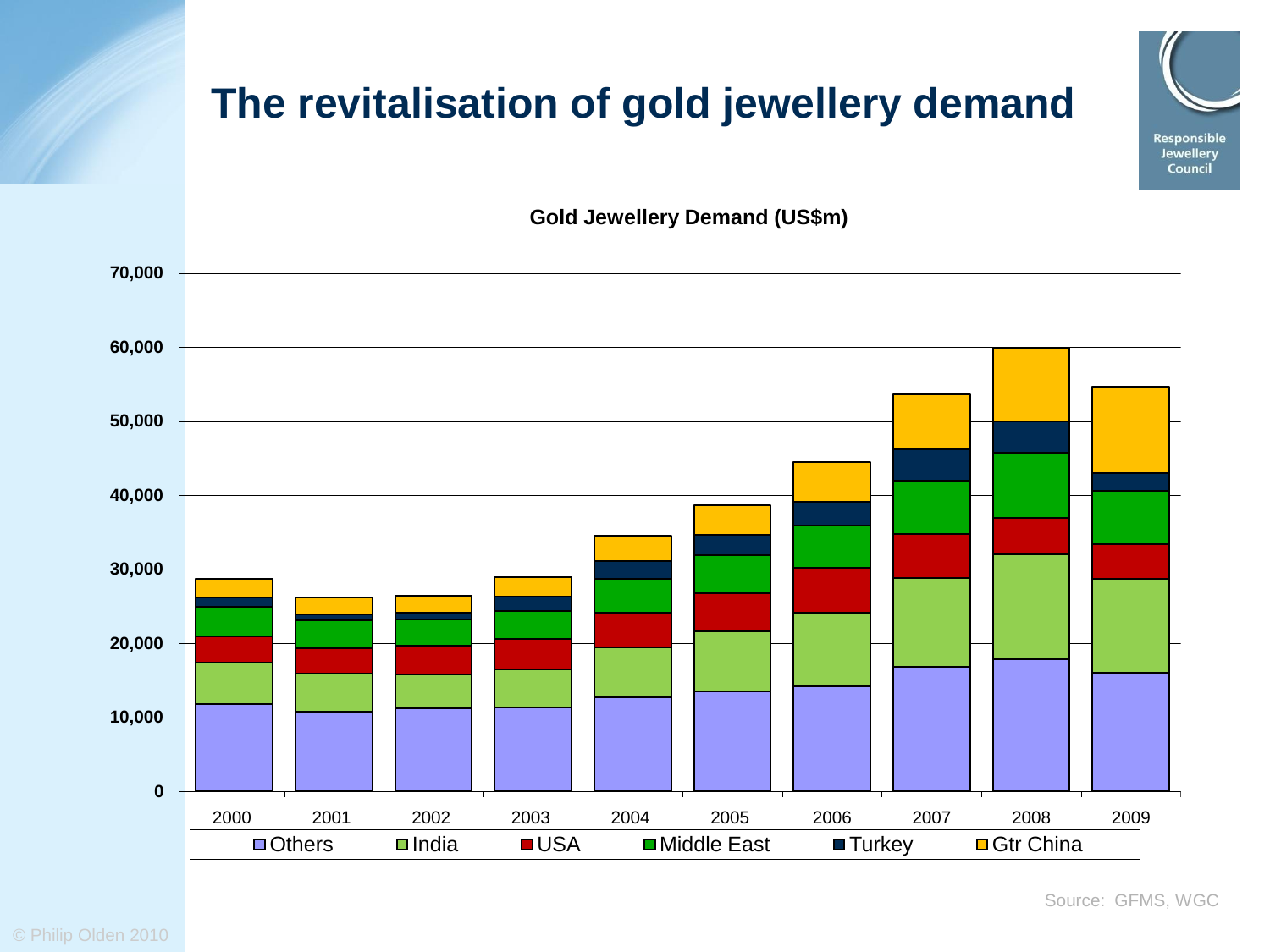# **The revitalisation of gold jewellery demand**



**Gold Jewellery Demand (US\$m)**

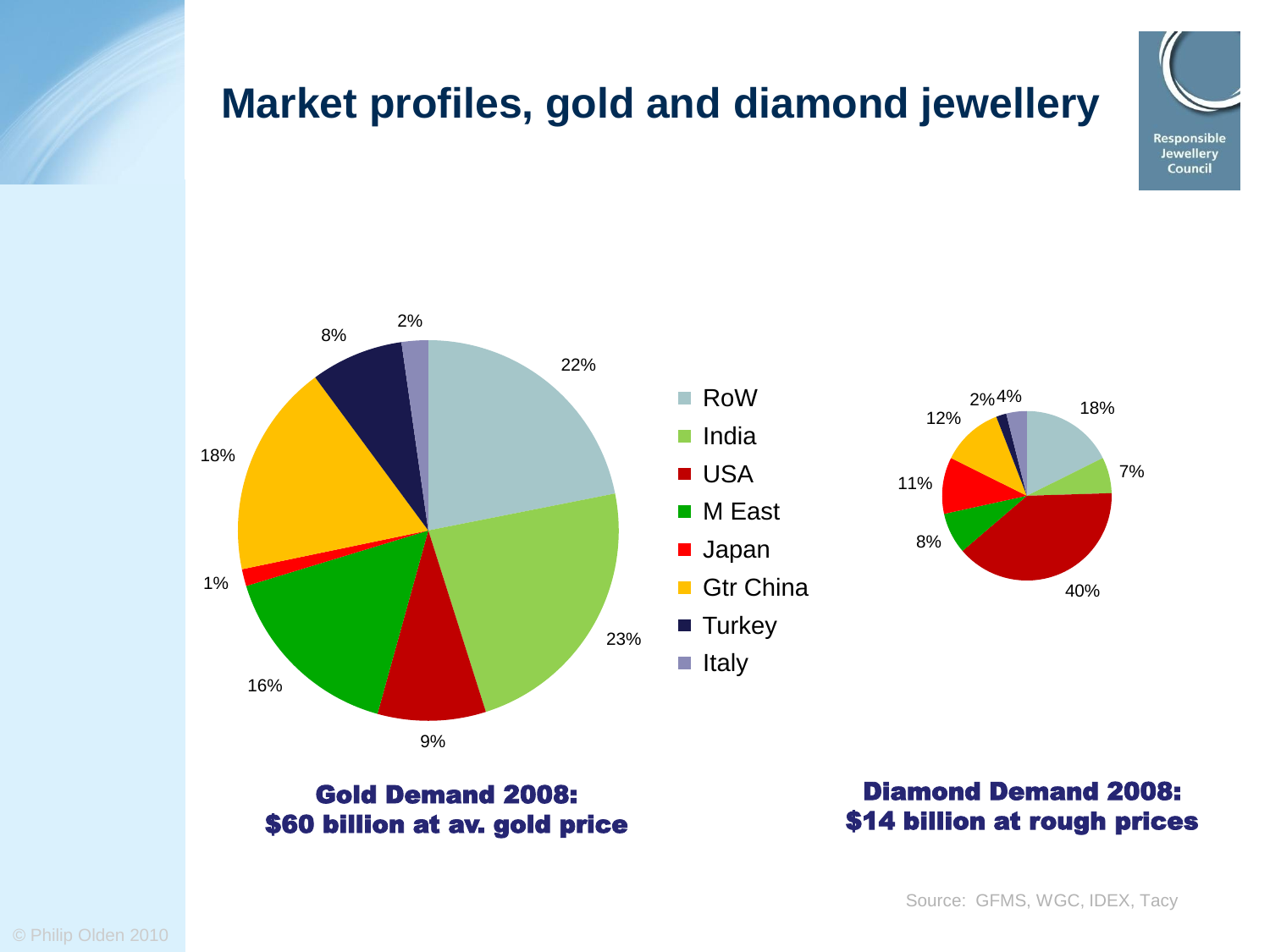

# **Market profiles, gold and diamond jewellery**



#### Gold Demand 2008: \$60 billion at av. gold price

Diamond Demand 2008: \$14 billion at rough prices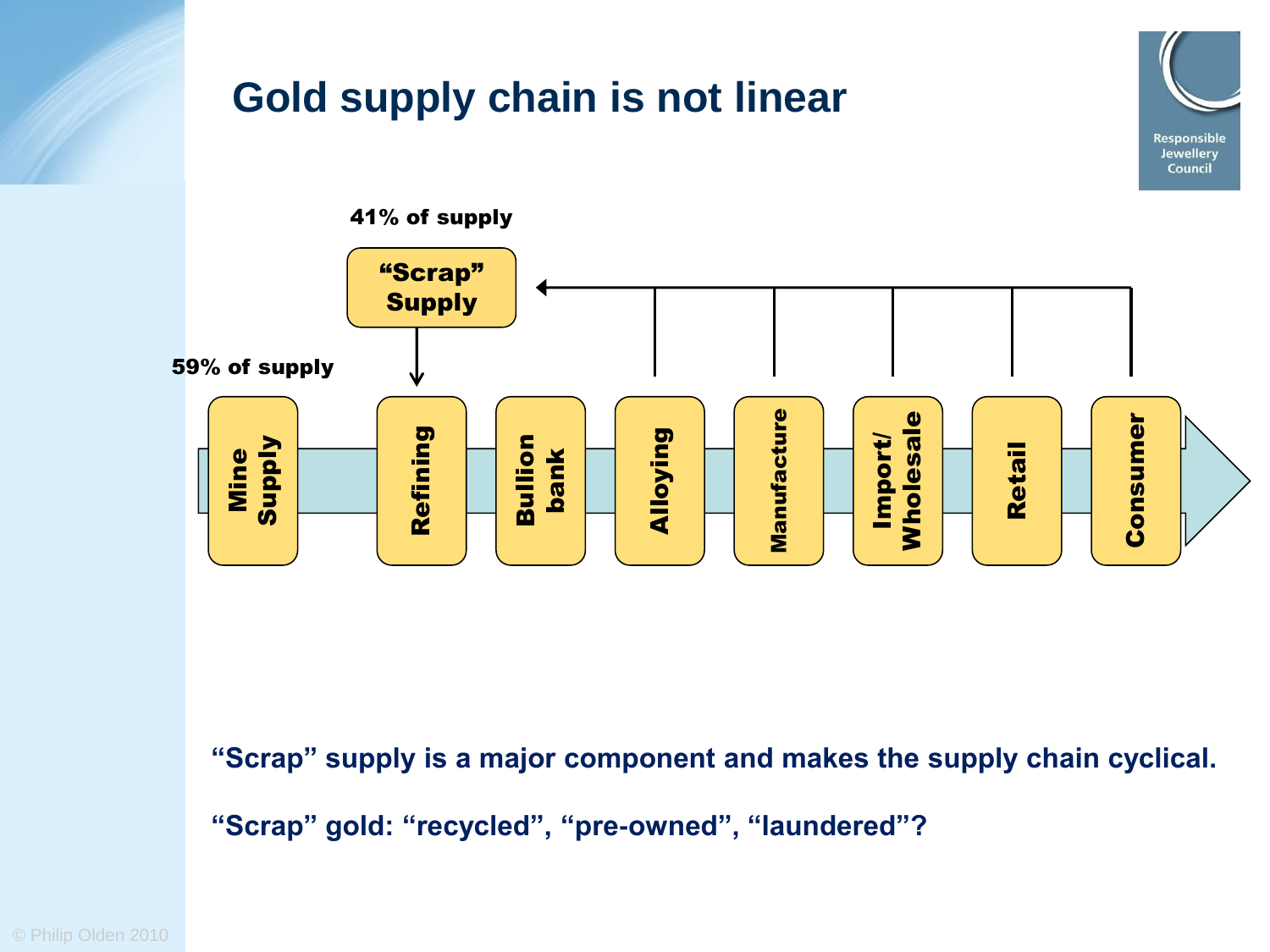

**"Scrap" supply is a major component and makes the supply chain cyclical.** 

**"Scrap" gold: "recycled", "pre-owned", "laundered"?**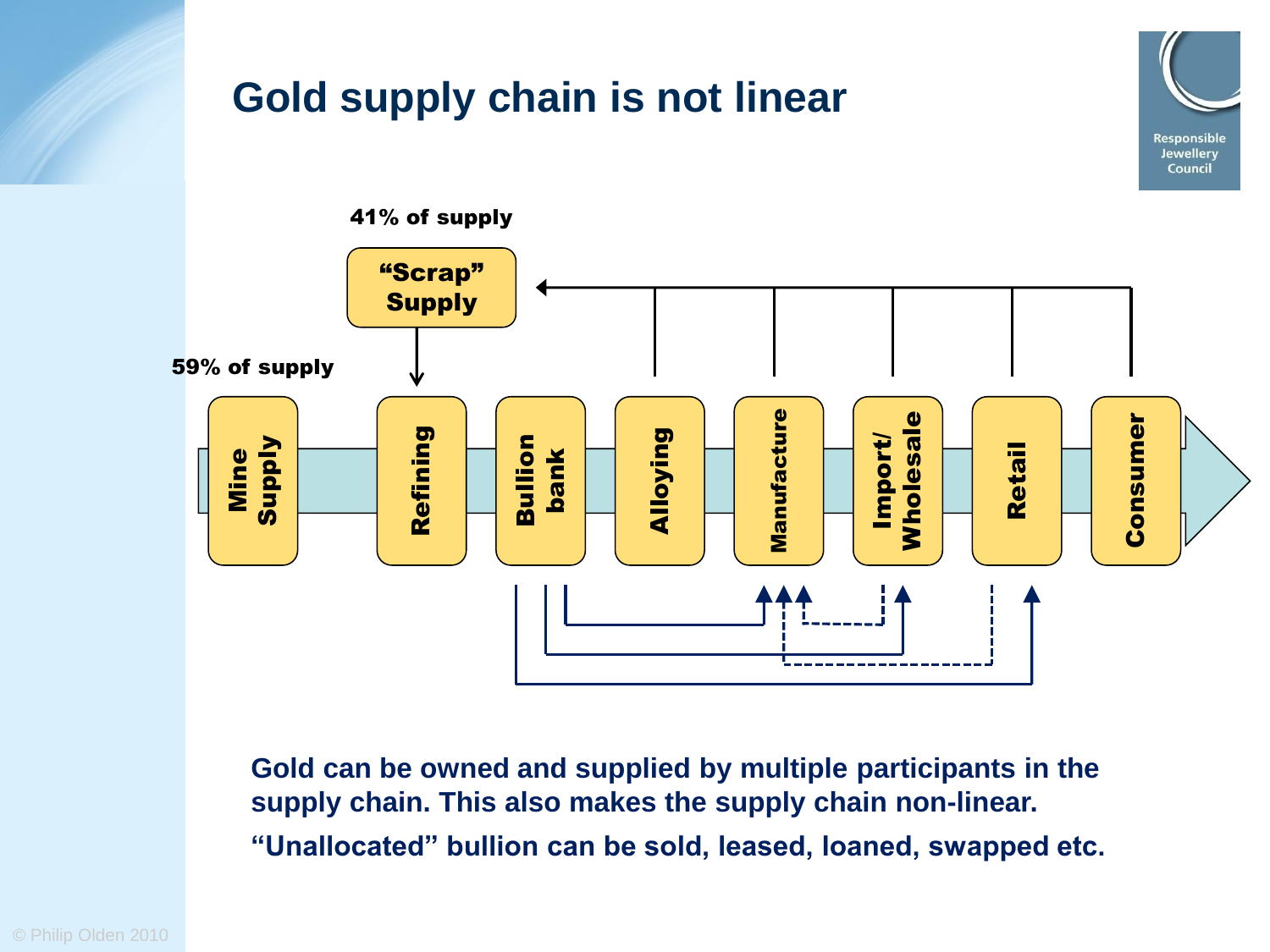

**Gold can be owned and supplied by multiple participants in the supply chain. This also makes the supply chain non-linear. "Unallocated" bullion can be sold, leased, loaned, swapped etc.**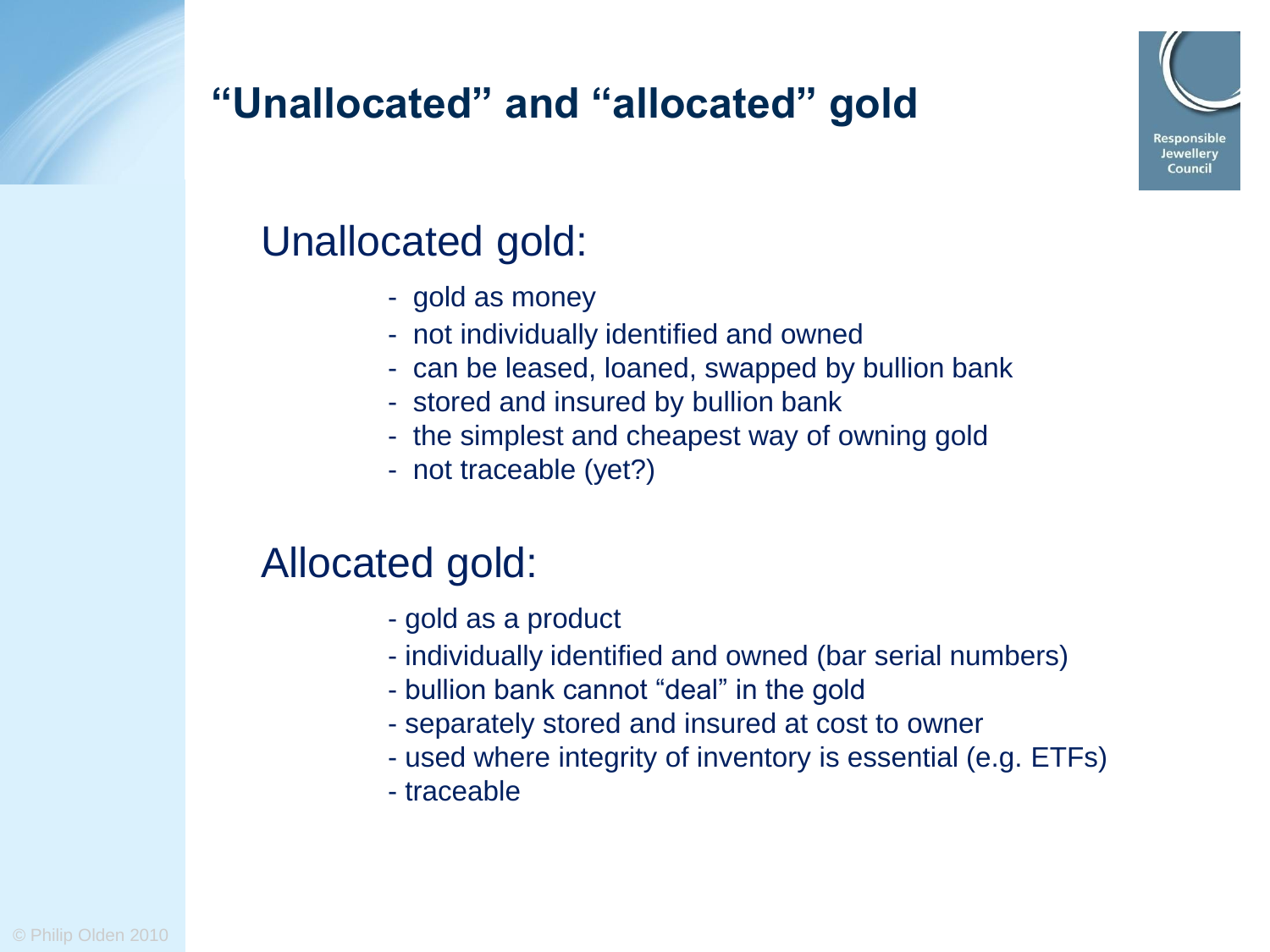# Responsible Jewellery Council

# **"Unallocated" and "allocated" gold**

# Unallocated gold:

- gold as money
- not individually identified and owned
- can be leased, loaned, swapped by bullion bank
- stored and insured by bullion bank
- the simplest and cheapest way of owning gold
- not traceable (yet?)

# Allocated gold:

- gold as a product
- individually identified and owned (bar serial numbers)
- bullion bank cannot "deal" in the gold
- separately stored and insured at cost to owner
- used where integrity of inventory is essential (e.g. ETFs)
- traceable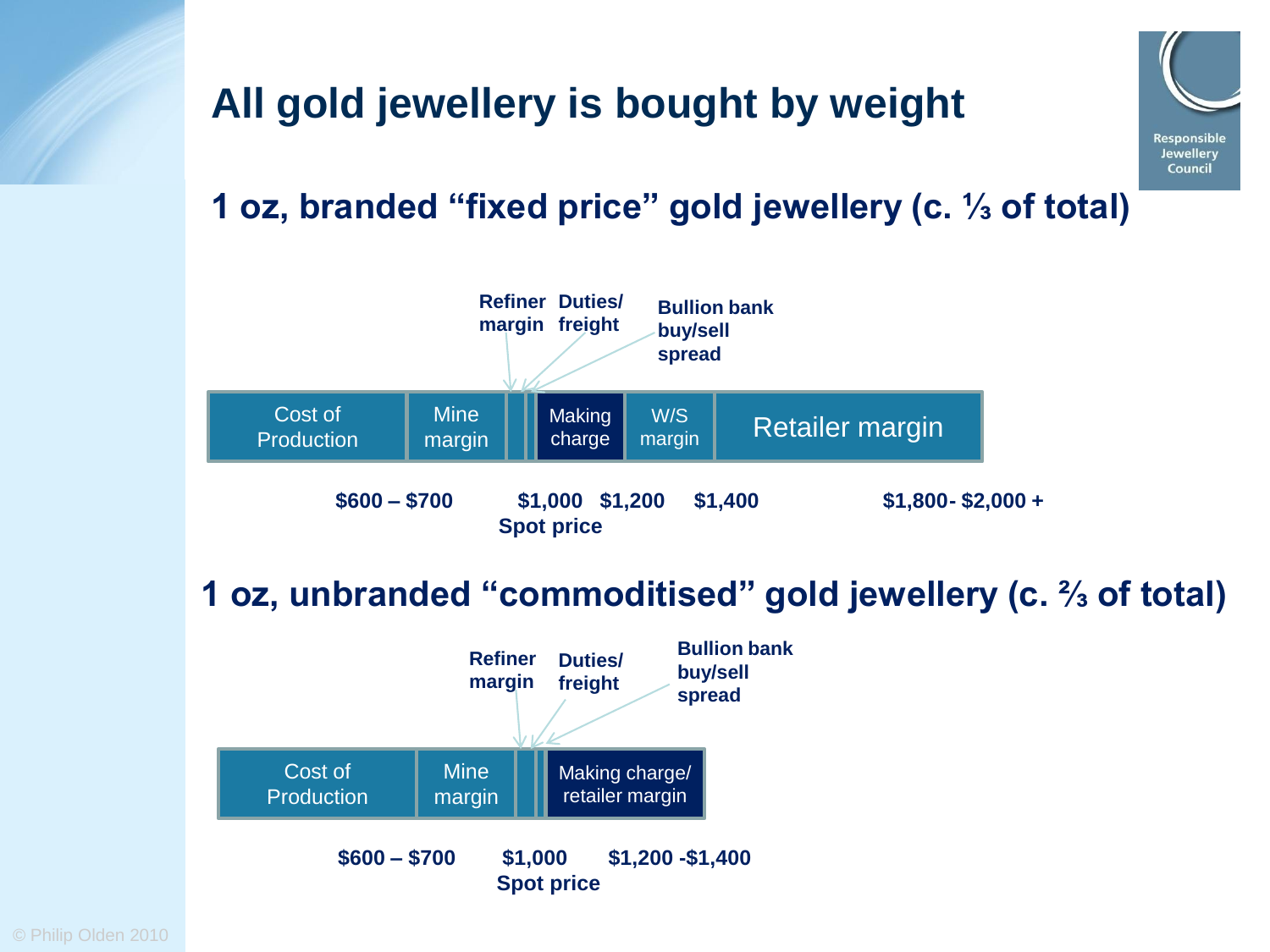# **All gold jewellery is bought by weight**



#### **1 oz, branded "fixed price" gold jewellery (c. ⅓ of total)**



#### **1 oz, unbranded "commoditised" gold jewellery (c. ⅔ of total)**

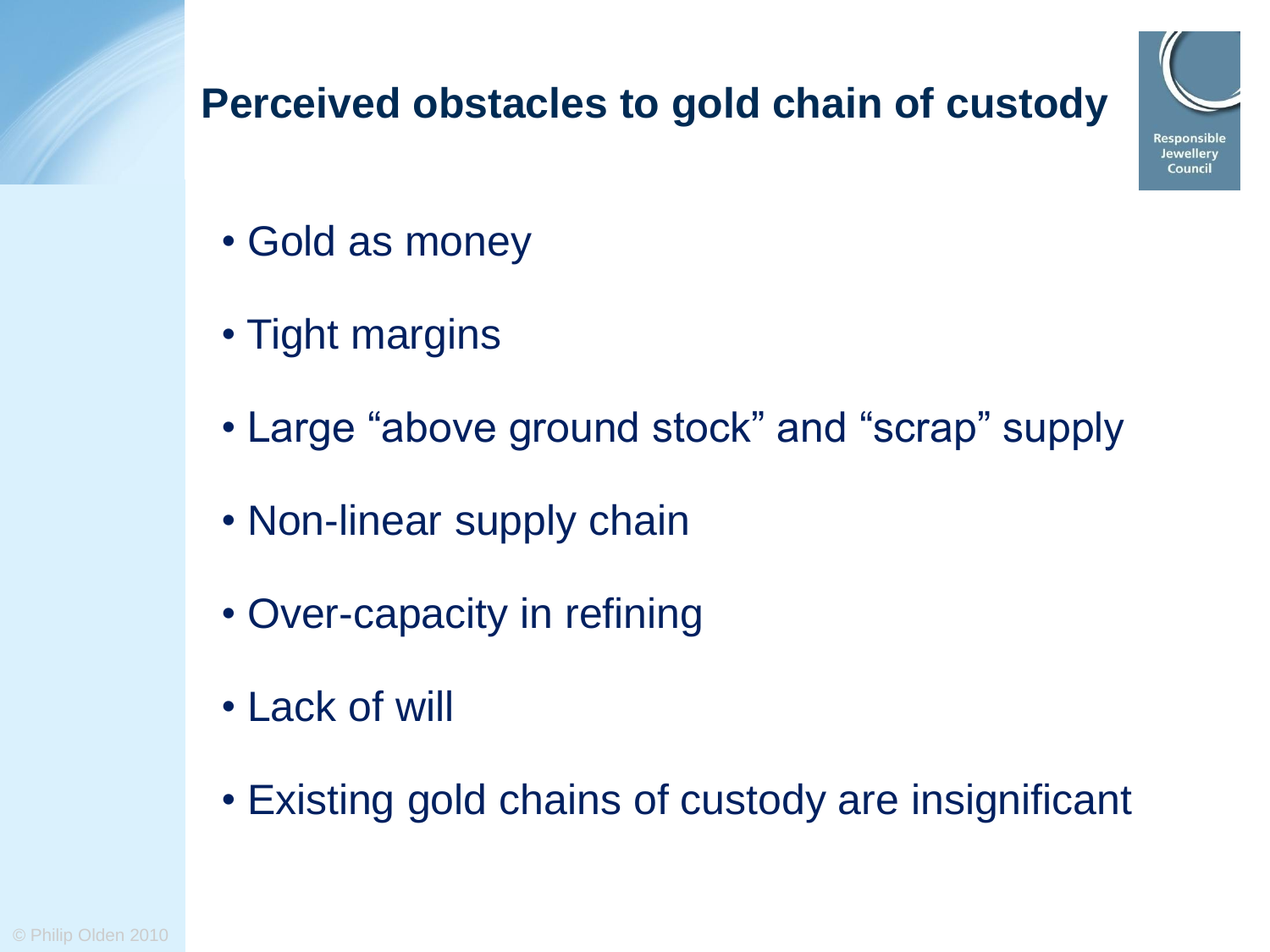# **Perceived obstacles to gold chain of custody**



- Gold as money
- Tight margins
- Large "above ground stock" and "scrap" supply
- Non-linear supply chain
- Over-capacity in refining
- Lack of will
- Existing gold chains of custody are insignificant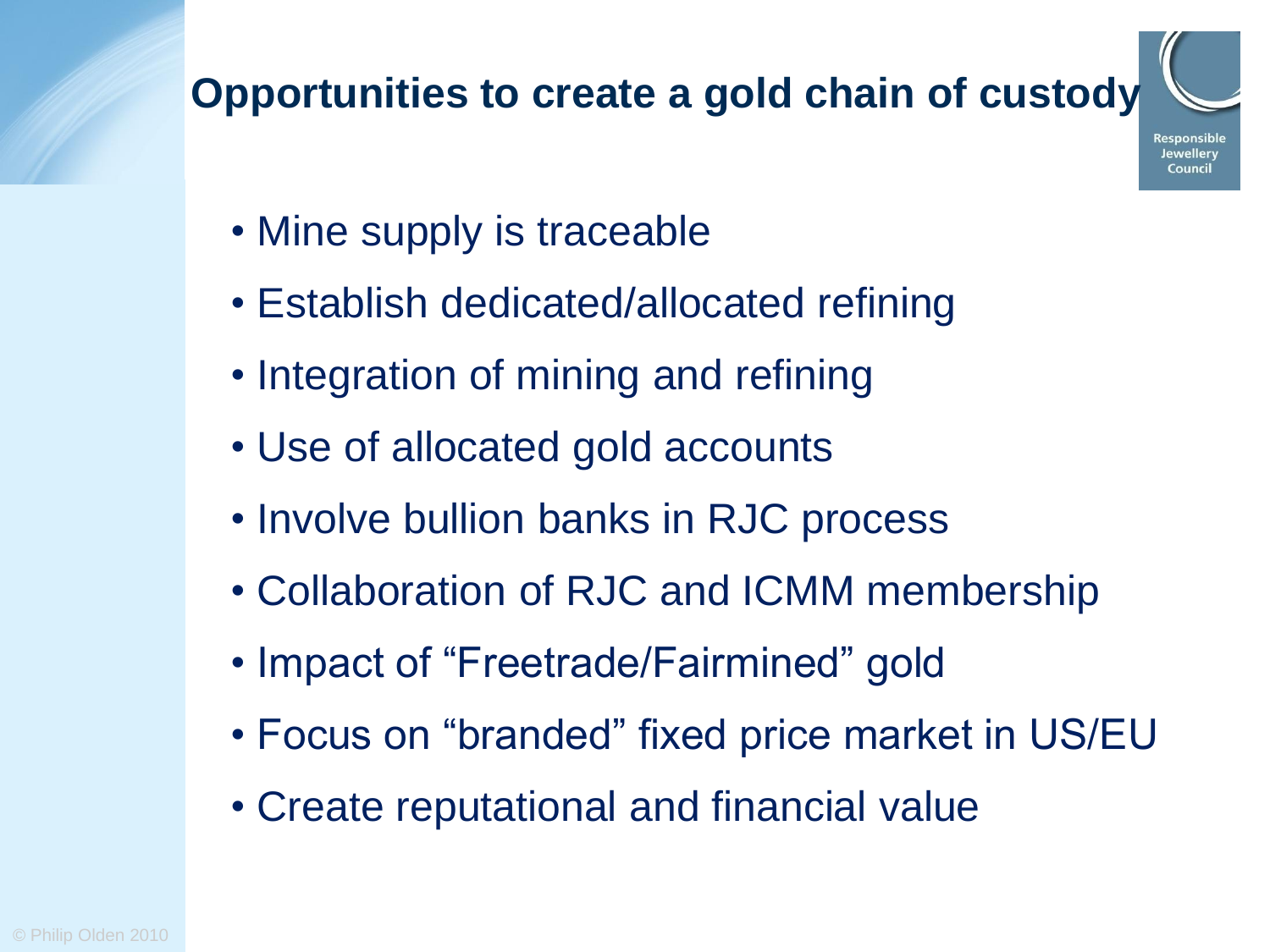# **Opportunities to create a gold chain of custody**



- Mine supply is traceable
- Establish dedicated/allocated refining
- Integration of mining and refining
- Use of allocated gold accounts
- Involve bullion banks in RJC process
- Collaboration of RJC and ICMM membership
- Impact of "Freetrade/Fairmined" gold
- Focus on "branded" fixed price market in US/EU
- Create reputational and financial value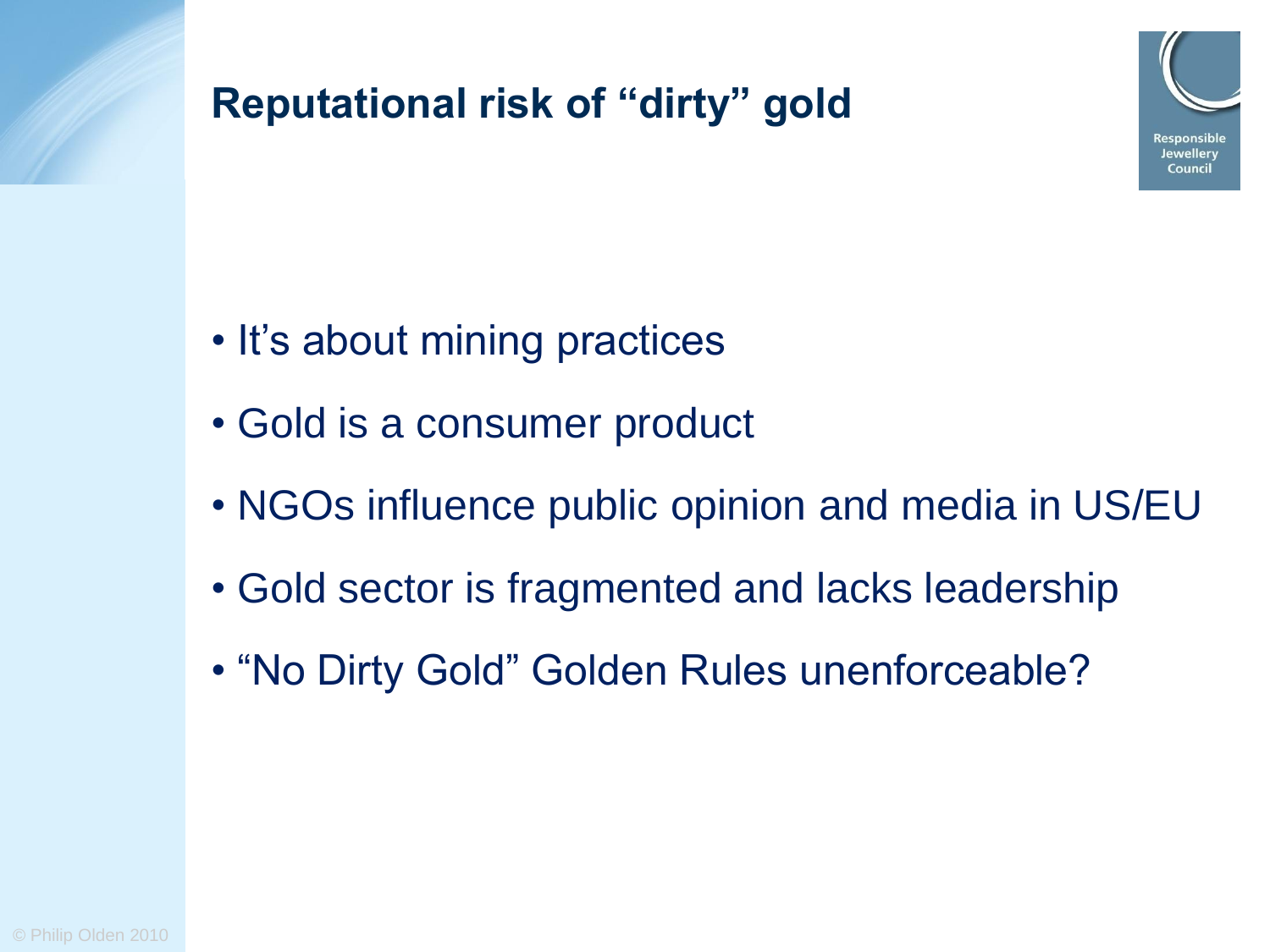

# **Reputational risk of "dirty" gold**

- It's about mining practices
- Gold is a consumer product
- NGOs influence public opinion and media in US/EU
- Gold sector is fragmented and lacks leadership
- "No Dirty Gold" Golden Rules unenforceable?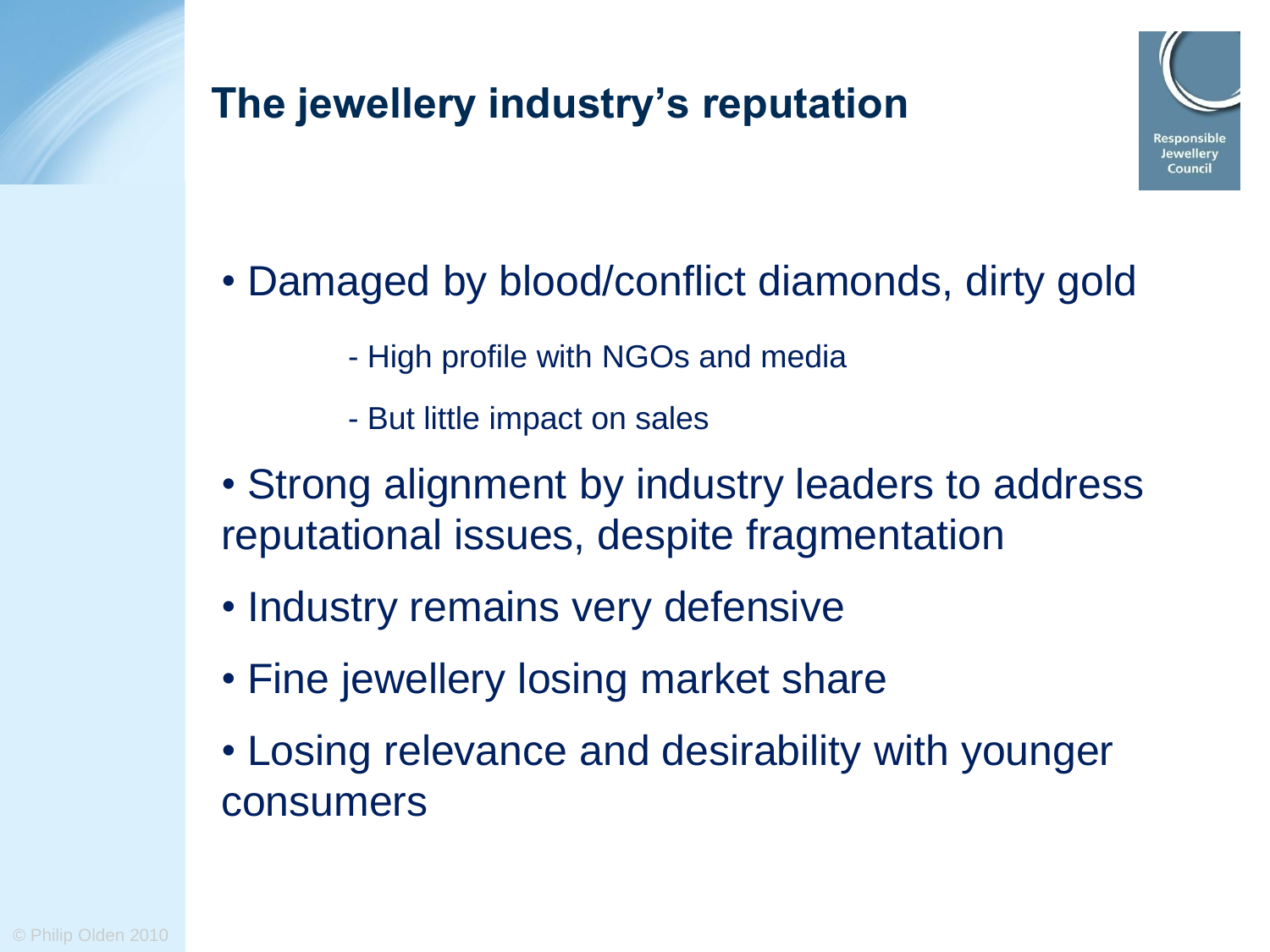# **The jewellery industry's reputation**



# • Damaged by blood/conflict diamonds, dirty gold

- High profile with NGOs and media
- But little impact on sales
- Strong alignment by industry leaders to address reputational issues, despite fragmentation
- Industry remains very defensive
- Fine jewellery losing market share
- Losing relevance and desirability with younger consumers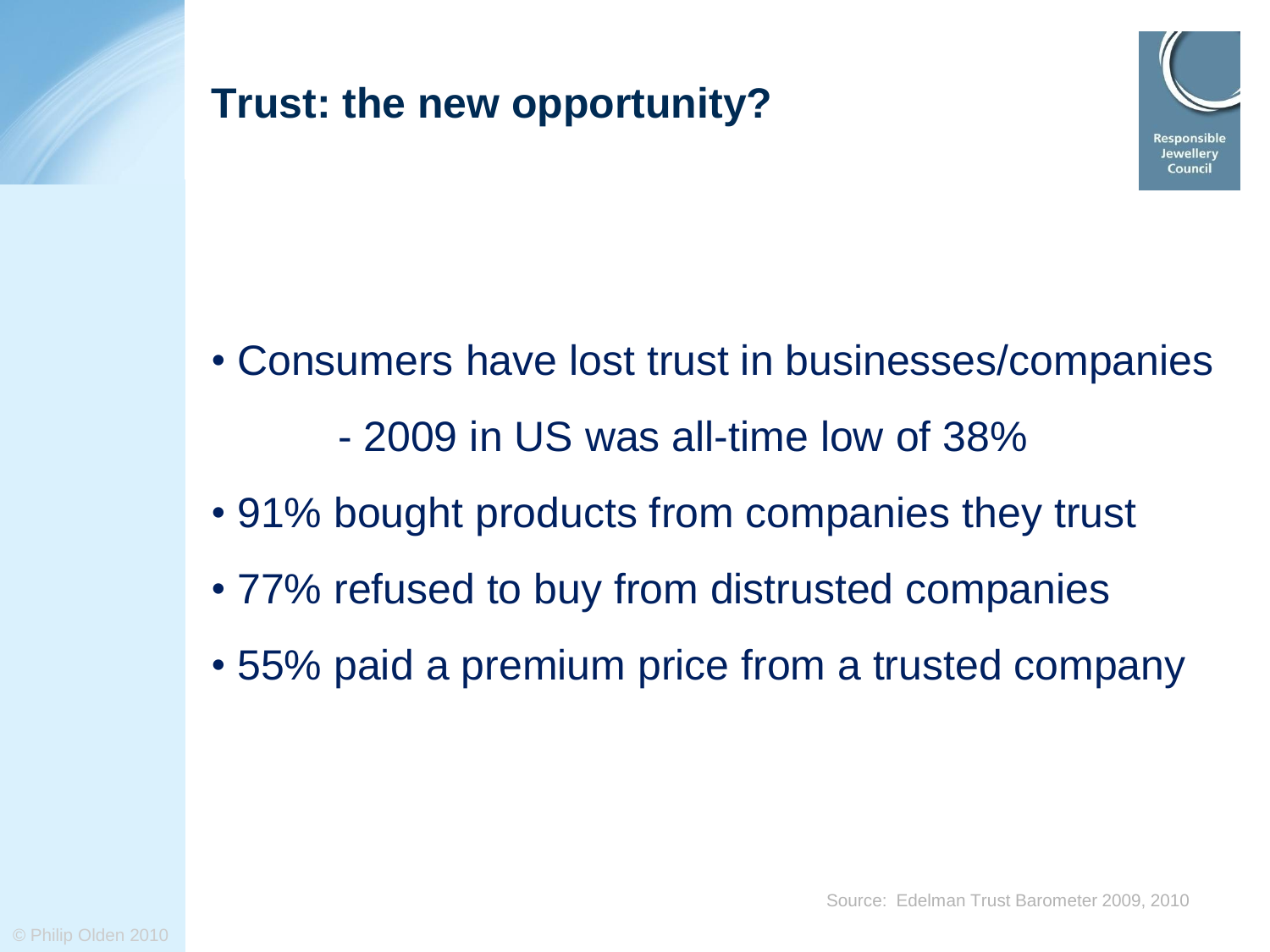



- Consumers have lost trust in businesses/companies - 2009 in US was all-time low of 38%
- 91% bought products from companies they trust
- 77% refused to buy from distrusted companies
- 55% paid a premium price from a trusted company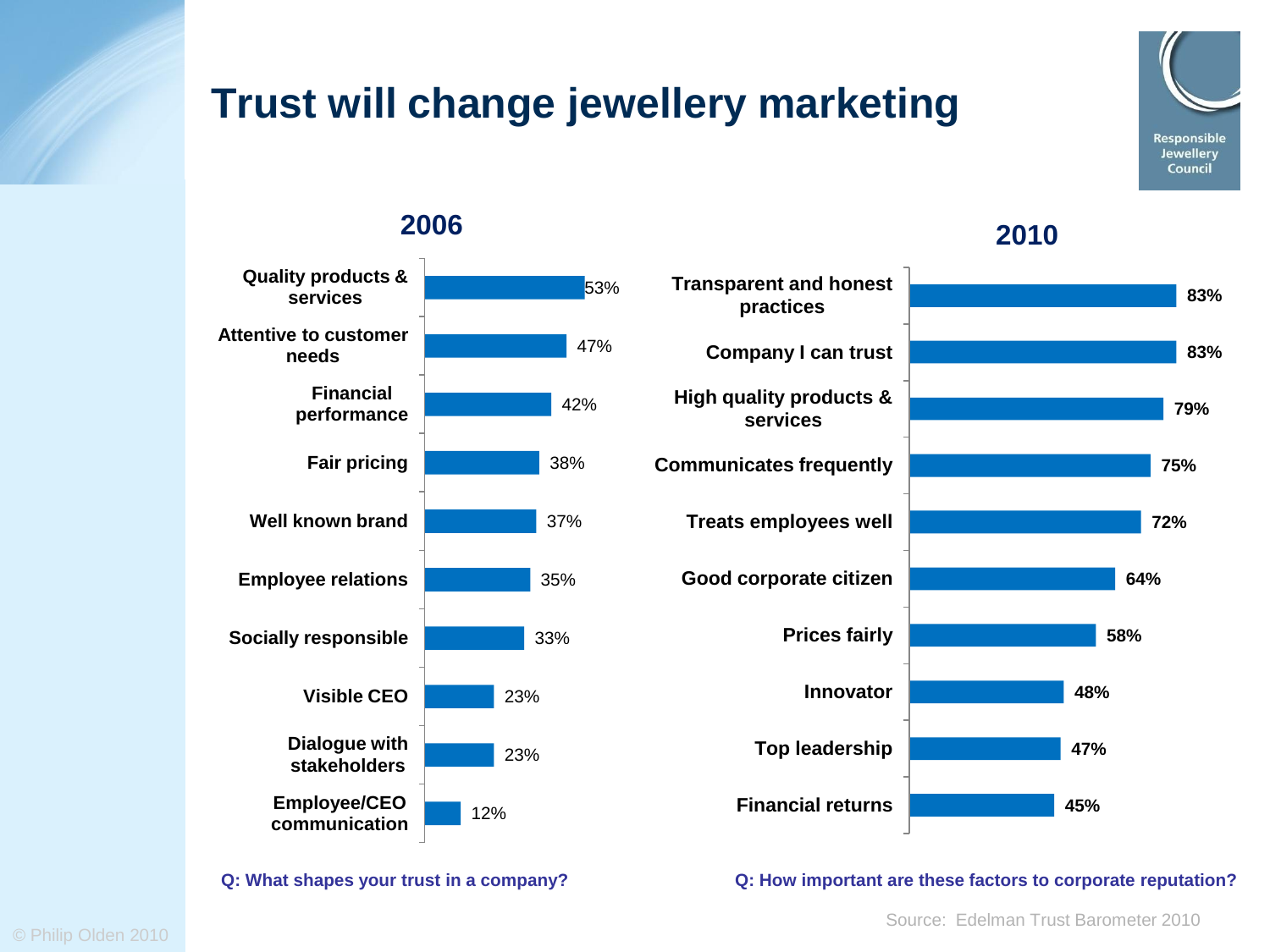# **Trust will change jewellery marketing**

53% 47% 42% 38% 37% 35% 33% 23% 23% 12% **Quality products & services Attentive to customer needs Financial performance Fair pricing Well known brand Employee relations Socially responsible Visible CEO Dialogue with stakeholders Employee/CEO communication**



Responsible **Jewellery** Council



#### **Q: What shapes your trust in a company? Q: How important are these factors to corporate reputation?**

Source: Edelman Trust Barometer 2010

© Philip Olden 2010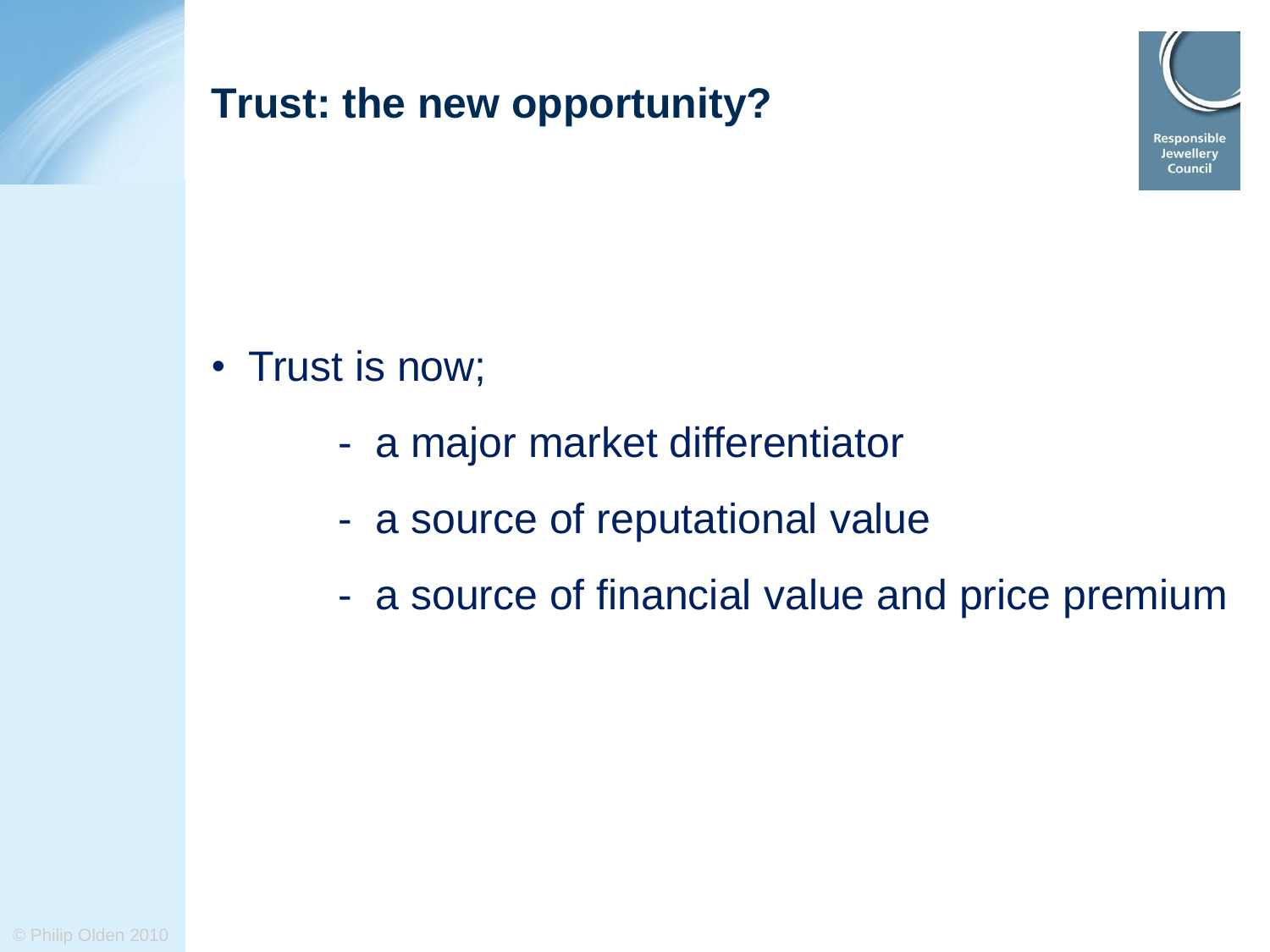

#### **Trust: the new opportunity?**

- Trust is now;
	- a major market differentiator
	- a source of reputational value
	- a source of financial value and price premium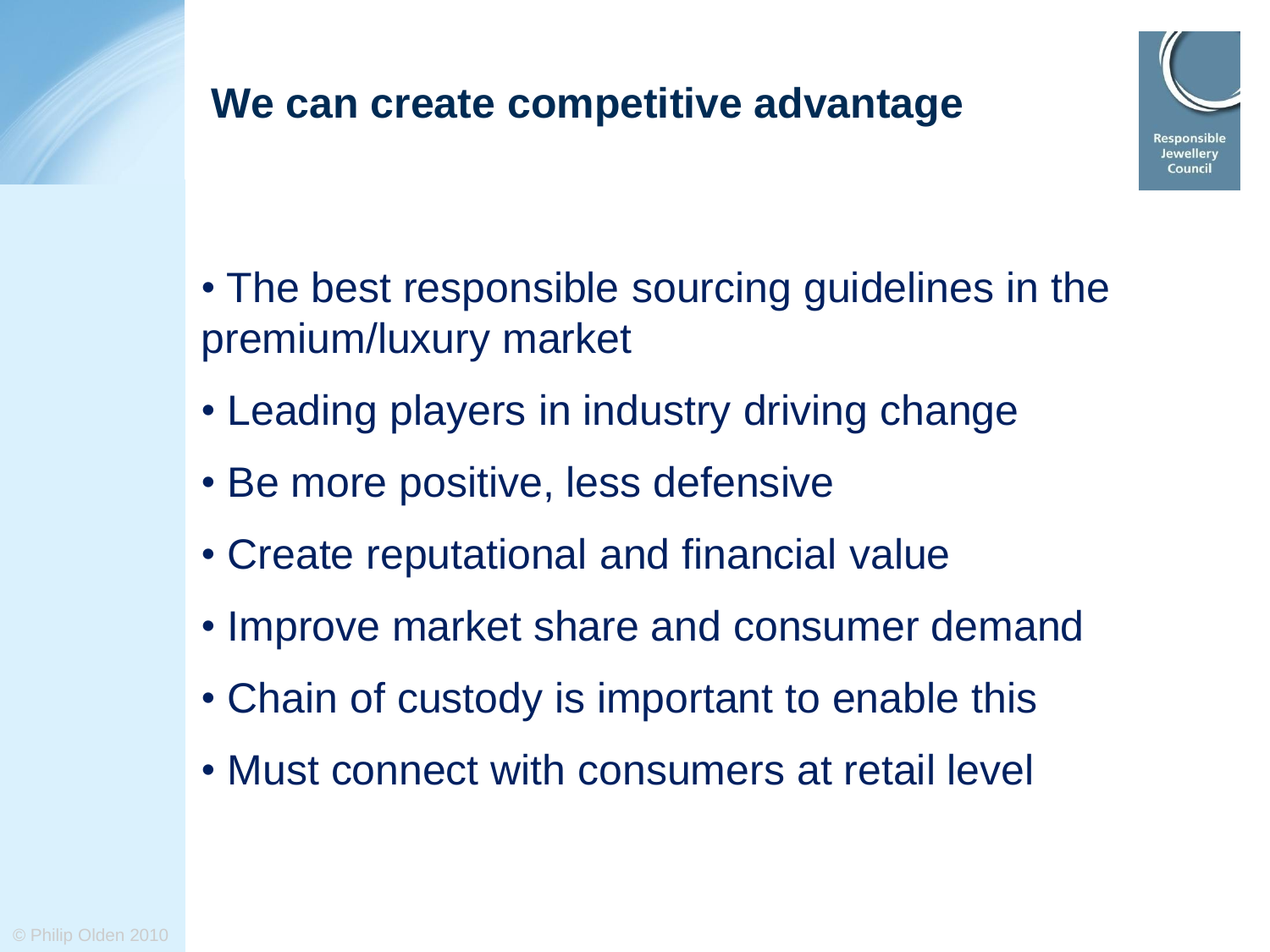#### **We can create competitive advantage**



- The best responsible sourcing guidelines in the premium/luxury market
- Leading players in industry driving change
- Be more positive, less defensive
- Create reputational and financial value
- Improve market share and consumer demand
- Chain of custody is important to enable this
- Must connect with consumers at retail level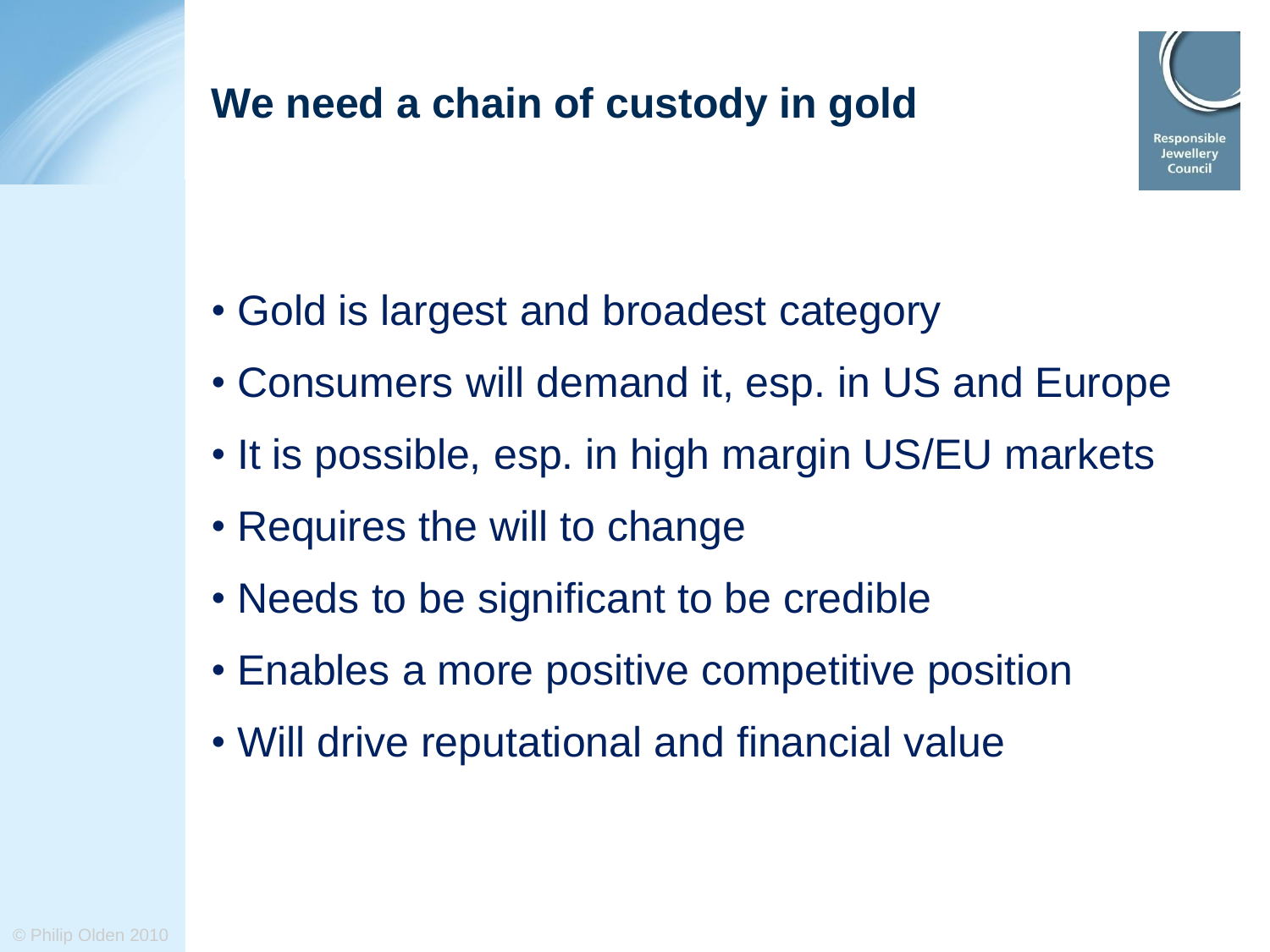

- Gold is largest and broadest category
- Consumers will demand it, esp. in US and Europe
- It is possible, esp. in high margin US/EU markets
- Requires the will to change
- Needs to be significant to be credible
- Enables a more positive competitive position
- Will drive reputational and financial value